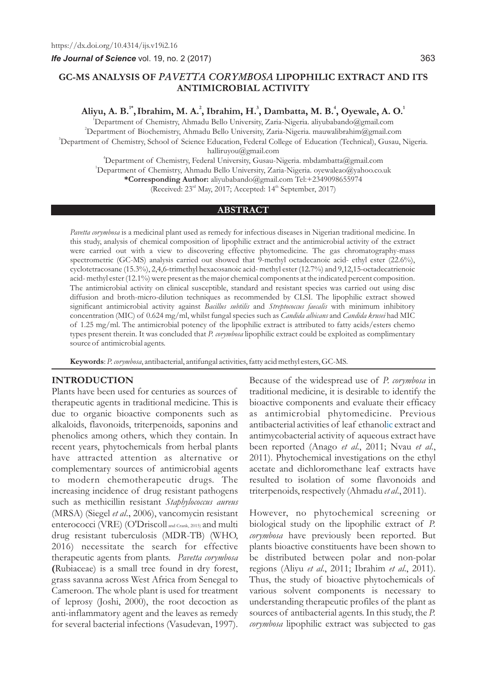*Ife Journal of Science* vol. 19, no. 2 (2017)

# **GC-MS ANALYSIS OF** *PAVETTA CORYMBOSA* **LIPOPHILIC EXTRACT AND ITS ANTIMICROBIAL ACTIVITY**

**1\* 2 3 4 1 Aliyu, A. B. ,Ibrahim, M. A. , Ibrahim, H. , Dambatta, M. B. , Oyewale, A. O.**

<sup>1</sup>Department of Chemistry, Ahmadu Bello University, Zaria-Nigeria. aliyubabando@gmail.com <sup>2</sup>Department of Biochemistry, Ahmadu Bello University, Zaria-Nigeria. mauwalibrahim@gmail.com <sup>3</sup>Department of Chemistry, School of Science Education, Federal College of Education (Technical), Gusau, Nigeria.

halliruyou@gmail.com

<sup>4</sup>Department of Chemistry, Federal University, Gusau-Nigeria. mbdambatta@gmail.com <sup>1</sup>Department of Chemistry, Ahmadu Bello University, Zaria-Nigeria. oyewaleao@yahoo.co.uk **\*Corresponding Author:** aliyubabando@gmail.com Tel:+2349098655974

(Received:  $23<sup>rd</sup>$  May, 2017; Accepted:  $14<sup>th</sup>$  September, 2017)

#### **ABSTRACT**

*Pavetta corymbosa* is a medicinal plant used as remedy for infectious diseases in Nigerian traditional medicine. In this study, analysis of chemical composition of lipophilic extract and the antimicrobial activity of the extract were carried out with a view to discovering effective phytomedicine. The gas chromatography-mass spectrometric (GC-MS) analysis carried out showed that 9-methyl octadecanoic acid- ethyl ester (22.6%), cyclotetracosane (15.3%), 2,4,6-trimethyl hexacosanoic acid- methyl ester (12.7%) and 9,12,15-octadecatrienoic acid- methyl ester (12.1%) were present as the major chemical components at the indicated percent composition. The antimicrobial activity on clinical susceptible, standard and resistant species was carried out using disc diffusion and broth-micro-dilution techniques as recommended by CLSI. The lipophilic extract showed significant antimicrobial activity against *Bacillus subtilis* and *Streptococcus faecalis* with minimum inhibitory concentration (MIC) of 0.624 mg/ml, whilst fungal species such as *Candida albicans* and *Candida krusei* had MIC of 1.25 mg/ml. The antimicrobial potency of the lipophilic extract is attributed to fatty acids/esters chemo types present therein. It was concluded that *P. corymbosa* lipophilic extract could be exploited as complimentary source of antimicrobial agents.

**Keywords**: *P. corymbosa*, antibacterial, antifungal activities, fatty acid methyl esters, GC-MS.

# **INTRODUCTION**

Plants have been used for centuries as sources of therapeutic agents in traditional medicine. This is due to organic bioactive components such as alkaloids, flavonoids, triterpenoids, saponins and phenolics among others, which they contain. In recent years, phytochemicals from herbal plants have attracted attention as alternative or complementary sources of antimicrobial agents to modern chemotherapeutic drugs. The increasing incidence of drug resistant pathogens such as methicillin resistant *Staphylococcus aureus* (MRSA) (Siegel *et al*., 2006), vancomycin resistant enterococci (VRE) (O'Driscoll and Crank, 2015) and multi drug resistant tuberculosis (MDR-TB) (WHO, 2016) necessitate the search for effective therapeutic agents from plants. *Pavetta corymbosa*  **(**Rubiaceae) is a small tree found in dry forest, grass savanna across West Africa from Senegal to Cameroon. The whole plant is used for treatment of leprosy (Joshi, 2000), the root decoction as anti-inflammatory agent and the leaves as remedy for several bacterial infections (Vasudevan, 1997).

Because of the widespread use of *P. corymbosa* in traditional medicine, it is desirable to identify the bioactive components and evaluate their efficacy as antimicrobial phytomedicine. Previous antibacterial activities of leaf ethanolic extract and antimycobacterial activity of aqueous extract have been reported (Anago *et al*., 2011; Nvau *et al*., 2011). Phytochemical investigations on the ethyl acetate and dichloromethane leaf extracts have resulted to isolation of some flavonoids and triterpenoids, respectively (Ahmadu *et al*., 2011).

However, no phytochemical screening or biological study on the lipophilic extract of *P. corymbosa* have previously been reported. But plants bioactive constituents have been shown to be distributed between polar and non-polar regions (Aliyu *et al*., 2011; Ibrahim *et al*., 2011). Thus, the study of bioactive phytochemicals of various solvent components is necessary to understanding therapeutic profiles of the plant as sources of antibacterial agents. In this study, the *P. corymbosa* lipophilic extract was subjected to gas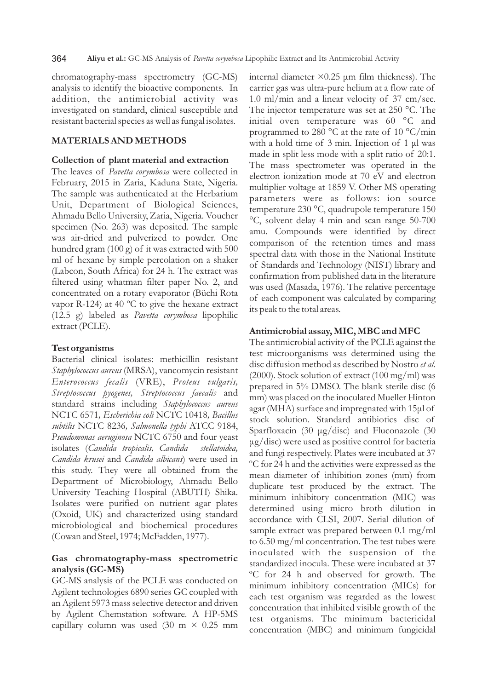chromatography-mass spectrometry (GC-MS) analysis to identify the bioactive components. In addition, the antimicrobial activity was investigated on standard, clinical susceptible and resistant bacterial species as well as fungal isolates.

## **MATERIALS AND METHODS**

#### **Collection of plant material and extraction**

The leaves of *Pavetta corymbosa* were collected in February, 2015 in Zaria, Kaduna State, Nigeria. The sample was authenticated at the Herbarium Unit, Department of Biological Sciences, Ahmadu Bello University, Zaria, Nigeria. Voucher specimen (No. 263) was deposited. The sample was air-dried and pulverized to powder. One hundred gram (100 g) of it was extracted with 500 ml of hexane by simple percolation on a shaker (Labcon, South Africa) for 24 h. The extract was filtered using whatman filter paper No. 2, and concentrated on a rotary evaporator (Büchi Rota vapor R-124) at 40 ºC to give the hexane extract (12.5 g) labeled as *Pavetta corymbosa* lipophilic extract (PCLE).

#### **Test organisms**

Bacterial clinical isolates: methicillin resistant *Staphylococcus aureus* (MRSA), vancomycin resistant *Enterococcus fecalis* (VRE), *Proteus vulgaris, Streptococcus pyogenes, Streptococcus faecalis* and standard strains including *Staphylococcus aureus*  NCTC 6571*, Escherichia coli* NCTC 10418*, Bacillus subtilis* NCTC 8236*, Salmonella typhi* ATCC 9184, *Pseudomonas aeruginosa* NCTC 6750 and four yeast isolates (*Candida tropicalis, Candida stellatoidea, Candida krusei* and *Candida albicans*) were used in this study. They were all obtained from the Department of Microbiology, Ahmadu Bello University Teaching Hospital (ABUTH) Shika. Isolates were purified on nutrient agar plates (Oxoid, UK) and characterized using standard microbiological and biochemical procedures (Cowan and Steel, 1974; McFadden, 1977).

# **Gas chromatography-mass spectrometric analysis (GC-MS)**

GC-MS analysis of the PCLE was conducted on Agilent technologies 6890 series GC coupled with an Agilent 5973 mass selective detector and driven by Agilent Chemstation software. A HP-5MS capillary column was used (30 m  $\times$  0.25 mm internal diameter  $\times 0.25$  µm film thickness). The carrier gas was ultra-pure helium at a flow rate of 1.0 ml/min and a linear velocity of 37 cm/sec. The injector temperature was set at 250 °C. The initial oven temperature was 60 °C and programmed to 280 °C at the rate of 10 °C/min with a hold time of 3 min. Injection of 1 μl was made in split less mode with a split ratio of 20:1. The mass spectrometer was operated in the electron ionization mode at 70 eV and electron multiplier voltage at 1859 V. Other MS operating parameters were as follows: ion source temperature 230 °C, quadrupole temperature 150 °C, solvent delay 4 min and scan range 50-700 amu. Compounds were identified by direct comparison of the retention times and mass spectral data with those in the National Institute of Standards and Technology (NIST) library and confirmation from published data in the literature was used (Masada, 1976). The relative percentage of each component was calculated by comparing its peak to the total areas.

#### **Antimicrobial assay, MIC, MBC and MFC**

The antimicrobial activity of the PCLE against the test microorganisms was determined using the disc diffusion method as described by Nostro *et al.*  (2000). Stock solution of extract (100 mg/ml) was prepared in 5% DMSO. The blank sterile disc (6 mm) was placed on the inoculated Mueller Hinton agar (MHA) surface and impregnated with 15μl of stock solution. Standard antibiotics disc of Sparfloxacin (30 μg/disc) and Fluconazole (30 μg/disc) were used as positive control for bacteria and fungi respectively. Plates were incubated at 37 ºC for 24 h and the activities were expressed as the mean diameter of inhibition zones (mm) from duplicate test produced by the extract. The minimum inhibitory concentration (MIC) was determined using micro broth dilution in accordance with CLSI, 2007. Serial dilution of sample extract was prepared between 0.1 mg/ml to 6.50 mg/ml concentration. The test tubes were inoculated with the suspension of the standardized inocula. These were incubated at 37 ºC for 24 h and observed for growth. The minimum inhibitory concentration (MICs) for each test organism was regarded as the lowest concentration that inhibited visible growth of the test organisms. The minimum bactericidal concentration (MBC) and minimum fungicidal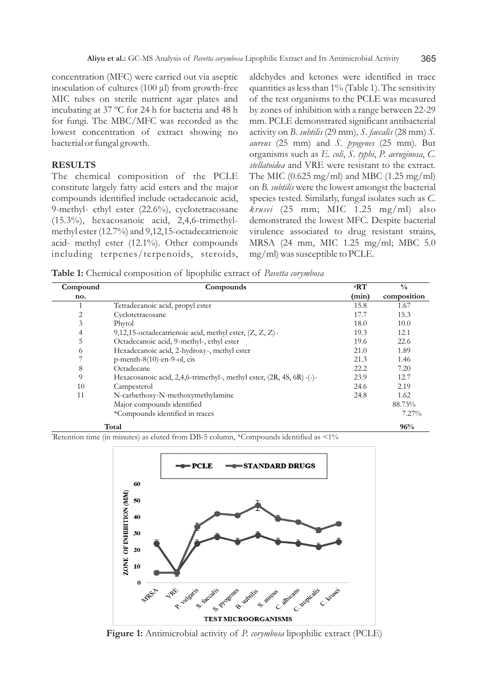concentration (MFC) were carried out via aseptic inoculation of cultures (100 μl) from growth-free MIC tubes on sterile nutrient agar plates and incubating at 37 ºC for 24 h for bacteria and 48 h for fungi. The MBC/MFC was recorded as the lowest concentration of extract showing no bacterial or fungal growth.

#### **RESULTS**

The chemical composition of the PCLE constitute largely fatty acid esters and the major compounds identified include octadecanoic acid, 9-methyl- ethyl ester (22.6%), cyclotetracosane (15.3%), hexacosanoic acid, 2,4,6-trimethylmethyl ester (12.7%) and 9,12,15-octadecatrienoic acid- methyl ester (12.1%). Other compounds including terpenes/terpenoids, steroids, aldehydes and ketones were identified in trace quantities as less than  $1\%$  (Table 1). The sensitivity of the test organisms to the PCLE was measured by zones of inhibition with a range between 22-29 mm. PCLE demonstrated significant antibacterial activity on *B. subtilis* (29 mm)*, S. faecalis* (28 mm) *S. aureus* (25 mm) and *S. pyogenes* (25 mm)*.* But organisms such as *E. coli*, *S. typhi*, *P. aeruginosa*, *C. stellatoidea* and VRE were resistant to the extract*.*  The MIC  $(0.625 \text{ mg/ml})$  and MBC  $(1.25 \text{ mg/ml})$ on *B. subtilis* were the lowest amongst the bacterial species tested. Similarly, fungal isolates such as *C. krusei* (25 mm; MIC 1.25 mg/ml) also demonstrated the lowest MFC. Despite bacterial virulence associated to drug resistant strains, MRSA (24 mm, MIC 1.25 mg/ml; MBC 5.0 mg/ml) was susceptible to PCLE.

**Table 1:** Chemical composition of lipophilic extract of *Pavetta corymbosa*

| Compound       | Compounds                                                            | <sup>a</sup> RT | $\frac{0}{0}$ |
|----------------|----------------------------------------------------------------------|-----------------|---------------|
| no.            |                                                                      | (min)           | composition   |
|                | Tetradecanoic acid, propyl ester                                     | 15.8            | 1.67          |
| 2              | Cyclotetracosane                                                     | 17.7            | 15.3          |
| 3              | Phytol                                                               | 18.0            | 10.0          |
| $\overline{4}$ | 9,12,15-octadecatrienoic acid, methyl ester, $(Z, Z, Z)$ -           | 19.3            | 12.1          |
| 5              | Octadecanoic acid, 9-methyl-, ethyl ester                            | 19.6            | 22.6          |
| 6              | Hexadecanoic acid, 2-hydroxy-, methyl ester                          | 21.0            | 1.89          |
|                | $p$ -menth-8(10)-en-9-ol, cis                                        | 21.3            | 1.46          |
| 8              | Octadecane                                                           | 22.2            | 7.20          |
| 9              | Hexacosanoic acid, 2,4,6-trimethyl-, methyl ester, (2R, 4S, 6R)-(-)- | 23.9            | 12.7          |
| 10             | Campesterol                                                          | 24.6            | 2.19          |
| 11             | N-carbethoxy-N-methoxymethylamine                                    | 24.8            | 1.62          |
|                | Major compounds identified                                           |                 | 88.73%        |
|                | *Compounds identified in traces                                      |                 | $7.27\%$      |
|                | Total                                                                |                 | 96%           |

<sup>a</sup>Retention time (in minutes) as eluted from DB-5 column, \*Compounds identified as <1%



**Figure 1:** Antimicrobial activity of *P. corymbosa* lipophilic extract (PCLE)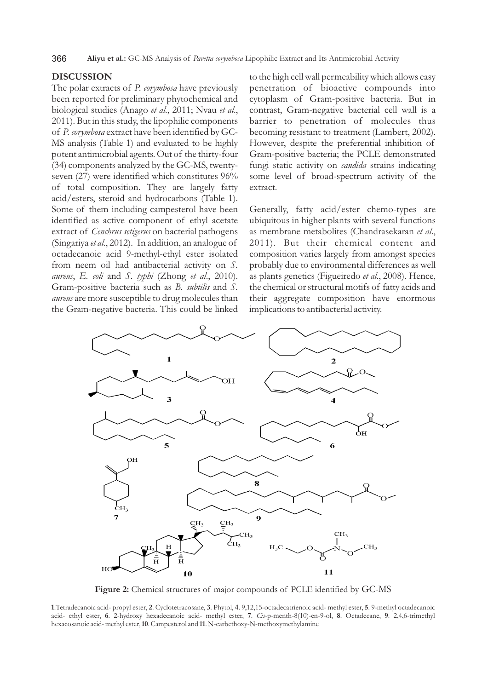366 **Aliyu et al.:** GC-MS Analysis of *Pavetta corymbosa* Lipophilic Extract and Its Antimicrobial Activity

# **DISCUSSION**

The polar extracts of *P. corymbosa* have previously been reported for preliminary phytochemical and biological studies (Anago *et al*., 2011; Nvau *et al*., 2011). But in this study, the lipophilic components of *P. corymbosa* extract have been identified by GC-MS analysis (Table 1) and evaluated to be highly potent antimicrobial agents. Out of the thirty-four (34) components analyzed by the GC-MS, twentyseven (27) were identified which constitutes 96% of total composition. They are largely fatty acid/esters, steroid and hydrocarbons (Table 1). Some of them including campesterol have been identified as active component of ethyl acetate extract of *Cenchrus setigerus* on bacterial pathogens (Singariya *et al*., 2012). In addition, an analogue of octadecanoic acid 9-methyl-ethyl ester isolated from neem oil had antibacterial activity on *S. aureus*, *E. coli* and *S. typhi* (Zhong *et al*., 2010). Gram-positive bacteria such as *B. subtilis* and *S. aureus* are more susceptible to drug molecules than the Gram-negative bacteria. This could be linked

to the high cell wall permeability which allows easy penetration of bioactive compounds into cytoplasm of Gram-positive bacteria. But in contrast, Gram-negative bacterial cell wall is a barrier to penetration of molecules thus becoming resistant to treatment (Lambert, 2002). However, despite the preferential inhibition of Gram-positive bacteria; the PCLE demonstrated fungi static activity on *candida* strains indicating some level of broad-spectrum activity of the extract.

Generally, fatty acid/ester chemo-types are ubiquitous in higher plants with several functions as membrane metabolites (Chandrasekaran *et al*., 2011). But their chemical content and composition varies largely from amongst species probably due to environmental differences as well as plants genetics (Figueiredo *et al*., 2008). Hence, the chemical or structural motifs of fatty acids and their aggregate composition have enormous implications to antibacterial activity.



**Figure 2:** Chemical structures of major compounds of PCLE identified by GC-MS

**1**.Tetradecanoic acid- propyl ester, **2**. Cyclotetracosane, **3**. Phytol, **4**. 9,12,15-octadecatrienoic acid- methyl ester, **5**. 9-methyl octadecanoic acid- ethyl ester, **6**. 2-hydroxy hexadecanoic acid- methyl ester, **7**. *Cis*-p-menth-8(10)-en-9-ol, **8**. Octadecane, **9**. 2,4,6-trimethyl hexacosanoic acid- methyl ester, **10**. Campesterol and **11**. N-carbethoxy-N-methoxymethylamine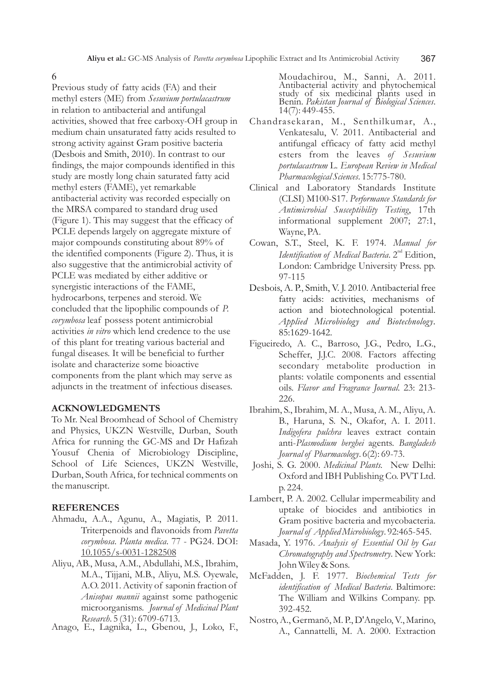#### 6

Previous study of fatty acids (FA) and their methyl esters (ME) from *Sesuvium portulacastrum* in relation to antibacterial and antifungal activities, showed that free carboxy-OH group in medium chain unsaturated fatty acids resulted to strong activity against Gram positive bacteria (Desbois and Smith, 2010). In contrast to our findings, the major compounds identified in this study are mostly long chain saturated fatty acid methyl esters (FAME), yet remarkable antibacterial activity was recorded especially on the MRSA compared to standard drug used (Figure 1). This may suggest that the efficacy of PCLE depends largely on aggregate mixture of major compounds constituting about 89% of the identified components (Figure 2). Thus, it is also suggestive that the antimicrobial activity of PCLE was mediated by either additive or synergistic interactions of the FAME, hydrocarbons, terpenes and steroid. We concluded that the lipophilic compounds of *P. corymbosa* leaf possess potent antimicrobial activities *in vitro* which lend credence to the use of this plant for treating various bacterial and fungal diseases. It will be beneficial to further isolate and characterize some bioactive components from the plant which may serve as adjuncts in the treatment of infectious diseases.

#### **ACKNOWLEDGMENTS**

To Mr. Neal Broomhead of School of Chemistry and Physics, UKZN Westville, Durban, South Africa for running the GC-MS and Dr Hafizah Yousuf Chenia of Microbiology Discipline, School of Life Sciences, UKZN Westville, Durban, South Africa, for technical comments on the manuscript.

#### **REFERENCES**

- Ahmadu, A.A., Agunu, A., Magiatis, P. 2011. Triterpenoids and flavonoids from *Pavetta corymbosa*. *Planta medica*. 77 - PG24. DOI: 10.1055/s-0031-1282508
- Aliyu, AB., Musa, A.M., Abdullahi, M.S., Ibrahim, M.A., Tijjani, M.B., Aliyu, M.S. Oyewale, A.O. 2011. Activity of saponin fraction of *Anisopus mannii* against some pathogenic microorganisms. *Journal of Medicinal Plant Research*. 5 (31): 6709-6713.
- Anago, E., Lagnika, L., Gbenou, J., Loko, F.,

Moudachirou, M., Sanni, A. 2011. Antibacterial activity and phytochemical study of six medicinal plants used in Benin. *Pakistan Journal of Biological Sciences*. 14(7): 449-455.

- Chandrasekaran, M., Senthilkumar, A., Venkatesalu, V. 2011. Antibacterial and antifungal efficacy of fatty acid methyl esters from the leaves *of Sesuvium portulacastrum* L. *European Review in Medical Pharmacological Sciences*. 15:775-780.
- Clinical and Laboratory Standards Institute (CLSI) M100-S17. *Performance Standards for Antimicrobial Susceptibility Testing*, 17th informational supplement 2007; 27:1, Wayne, PA.
- Cowan, S.T., Steel, K. F. 1974. *Manual for Identification of Medical Bacteria*. 2<sup>nd</sup> Edition, London: Cambridge University Press. pp. 97-115
- Desbois, A. P., Smith, V. J. 2010. Antibacterial free fatty acids: activities, mechanisms of action and biotechnological potential. *Applied Microbiology and Biotechnology*. 85:1629-1642.
- Figueiredo, A. C., Barroso, J.G., Pedro, L.G., Scheffer, J.J.C. 2008. Factors affecting secondary metabolite production in plants: volatile components and essential oils. *Flavor and Fragrance Journal*. 23: 213- 226.
- Ibrahim, S., Ibrahim, M. A., Musa, A. M., Aliyu, A. B., Haruna, S. N., Okafor, A. I. 2011. *Indigofera pulchra* leaves extract contain anti-*Plasmodium berghei* agents. *Bangladesh Journal of Pharmacology*. 6(2): 69-73.
- Joshi, S. G. 2000. *Medicinal Plants.* New Delhi: Oxford and IBH Publishing Co. PVT Ltd. p. 224.
- Lambert, P. A. 2002. Cellular impermeability and uptake of biocides and antibiotics in Gram positive bacteria and mycobacteria. *Journal of Applied Microbiology*. 92:465-545.
- Masada, Y. 1976. *Analysis of Essential Oil by Gas Chromatography and Spectrometry*. New York: John Wiley & Sons.
- McFadden, J. F. 1977. *Biochemical Tests for identification of Medical Bacteria*. Baltimore: The William and Wilkins Company. pp. 392-452.
- Nostro, A., Germanŏ, M. P., D'Angelo, V., Marino, A., Cannattelli, M. A. 2000. Extraction